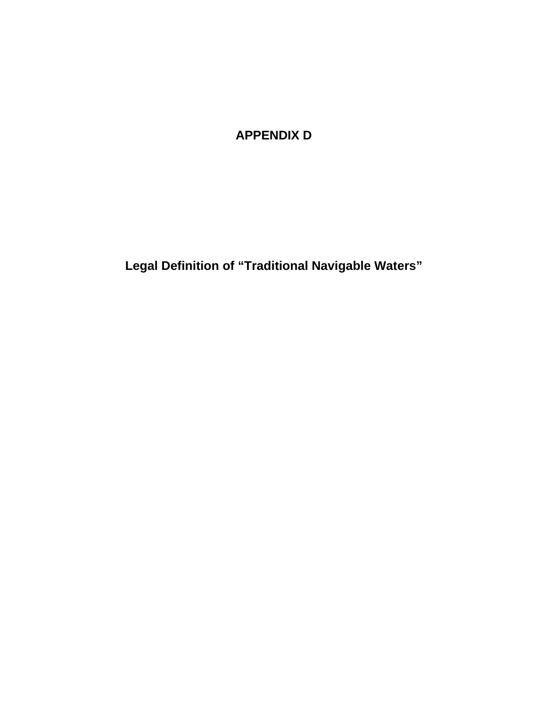## **APPENDIX D**

**Legal Definition of "Traditional Navigable Waters"**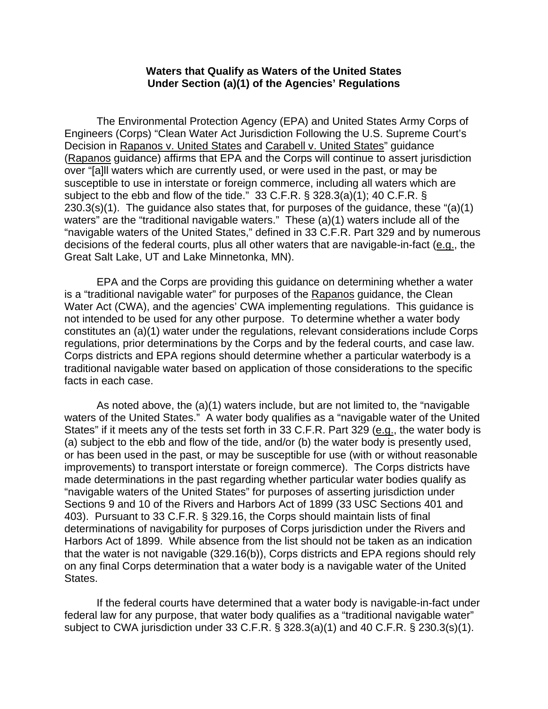## **Waters that Qualify as Waters of the United States Under Section (a)(1) of the Agencies' Regulations**

The Environmental Protection Agency (EPA) and United States Army Corps of Engineers (Corps) "Clean Water Act Jurisdiction Following the U.S. Supreme Court's Decision in Rapanos v. United States and Carabell v. United States" guidance (Rapanos guidance) affirms that EPA and the Corps will continue to assert jurisdiction over "[a]ll waters which are currently used, or were used in the past, or may be susceptible to use in interstate or foreign commerce, including all waters which are subject to the ebb and flow of the tide." 33 C.F.R. § 328.3(a)(1); 40 C.F.R. § 230.3(s)(1). The guidance also states that, for purposes of the guidance, these "(a)(1) waters" are the "traditional navigable waters." These (a)(1) waters include all of the "navigable waters of the United States," defined in 33 C.F.R. Part 329 and by numerous decisions of the federal courts, plus all other waters that are navigable-in-fact (e.g., the Great Salt Lake, UT and Lake Minnetonka, MN).

EPA and the Corps are providing this guidance on determining whether a water is a "traditional navigable water" for purposes of the Rapanos guidance, the Clean Water Act (CWA), and the agencies' CWA implementing regulations. This guidance is not intended to be used for any other purpose. To determine whether a water body constitutes an (a)(1) water under the regulations, relevant considerations include Corps regulations, prior determinations by the Corps and by the federal courts, and case law. Corps districts and EPA regions should determine whether a particular waterbody is a traditional navigable water based on application of those considerations to the specific facts in each case.

As noted above, the (a)(1) waters include, but are not limited to, the "navigable waters of the United States." A water body qualifies as a "navigable water of the United States" if it meets any of the tests set forth in 33 C.F.R. Part 329 (e.g., the water body is (a) subject to the ebb and flow of the tide, and/or (b) the water body is presently used, or has been used in the past, or may be susceptible for use (with or without reasonable improvements) to transport interstate or foreign commerce). The Corps districts have made determinations in the past regarding whether particular water bodies qualify as "navigable waters of the United States" for purposes of asserting jurisdiction under Sections 9 and 10 of the Rivers and Harbors Act of 1899 (33 USC Sections 401 and 403). Pursuant to 33 C.F.R. § 329.16, the Corps should maintain lists of final determinations of navigability for purposes of Corps jurisdiction under the Rivers and Harbors Act of 1899. While absence from the list should not be taken as an indication that the water is not navigable (329.16(b)), Corps districts and EPA regions should rely on any final Corps determination that a water body is a navigable water of the United States.

If the federal courts have determined that a water body is navigable-in-fact under federal law for any purpose, that water body qualifies as a "traditional navigable water" subject to CWA jurisdiction under 33 C.F.R. § 328.3(a)(1) and 40 C.F.R. § 230.3(s)(1).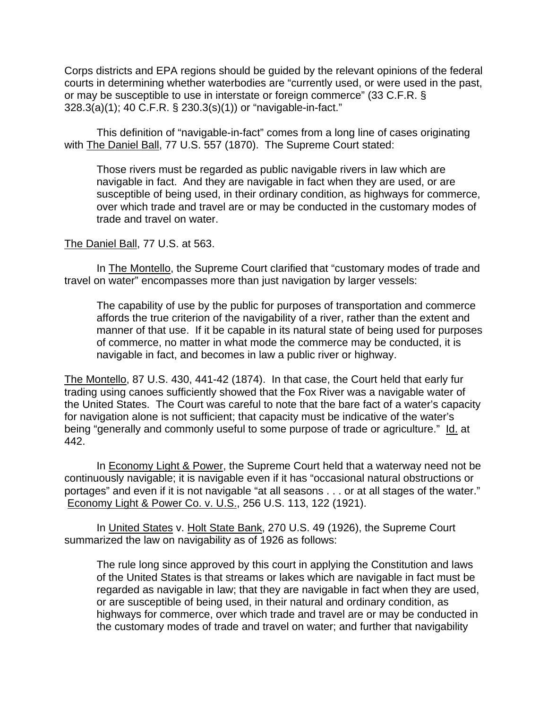Corps districts and EPA regions should be guided by the relevant opinions of the federal courts in determining whether waterbodies are "currently used, or were used in the past, or may be susceptible to use in interstate or foreign commerce" (33 C.F.R. § 328.3(a)(1); 40 C.F.R. § 230.3(s)(1)) or "navigable-in-fact."

This definition of "navigable-in-fact" comes from a long line of cases originating with The Daniel Ball, 77 U.S. 557 (1870). The Supreme Court stated:

Those rivers must be regarded as public navigable rivers in law which are navigable in fact. And they are navigable in fact when they are used, or are susceptible of being used, in their ordinary condition, as highways for commerce, over which trade and travel are or may be conducted in the customary modes of trade and travel on water.

## The Daniel Ball, 77 U.S. at 563.

In The Montello, the Supreme Court clarified that "customary modes of trade and travel on water" encompasses more than just navigation by larger vessels:

The capability of use by the public for purposes of transportation and commerce affords the true criterion of the navigability of a river, rather than the extent and manner of that use. If it be capable in its natural state of being used for purposes of commerce, no matter in what mode the commerce may be conducted, it is navigable in fact, and becomes in law a public river or highway.

The Montello, 87 U.S. 430, 441-42 (1874). In that case, the Court held that early fur trading using canoes sufficiently showed that the Fox River was a navigable water of the United States. The Court was careful to note that the bare fact of a water's capacity for navigation alone is not sufficient; that capacity must be indicative of the water's being "generally and commonly useful to some purpose of trade or agriculture." Id. at 442.

In **Economy Light & Power**, the Supreme Court held that a waterway need not be continuously navigable; it is navigable even if it has "occasional natural obstructions or portages" and even if it is not navigable "at all seasons . . . or at all stages of the water." Economy Light & Power Co. v. U.S., 256 U.S. 113, 122 (1921).

In United States v. Holt State Bank, 270 U.S. 49 (1926), the Supreme Court summarized the law on navigability as of 1926 as follows:

The rule long since approved by this court in applying the Constitution and laws of the United States is that streams or lakes which are navigable in fact must be regarded as navigable in law; that they are navigable in fact when they are used, or are susceptible of being used, in their natural and ordinary condition, as highways for commerce, over which trade and travel are or may be conducted in the customary modes of trade and travel on water; and further that navigability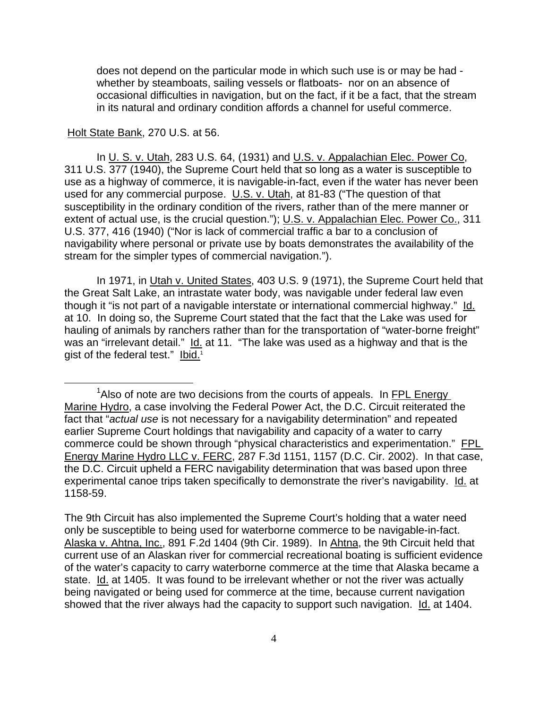does not depend on the particular mode in which such use is or may be had whether by steamboats, sailing vessels or flatboats- nor on an absence of occasional difficulties in navigation, but on the fact, if it be a fact, that the stream in its natural and ordinary condition affords a channel for useful commerce.

## Holt State Bank, 270 U.S. at 56.

In U. S. v. Utah, 283 U.S. 64, (1931) and U.S. v. Appalachian Elec. Power Co, 311 U.S. 377 (1940), the Supreme Court held that so long as a water is susceptible to use as a highway of commerce, it is navigable-in-fact, even if the water has never been used for any commercial purpose. U.S. v. Utah, at 81-83 ("The question of that susceptibility in the ordinary condition of the rivers, rather than of the mere manner or extent of actual use, is the crucial question."); U.S. v. Appalachian Elec. Power Co., 311 U.S. 377, 416 (1940) ("Nor is lack of commercial traffic a bar to a conclusion of navigability where personal or private use by boats demonstrates the availability of the stream for the simpler types of commercial navigation.").

In 1971, in Utah v. United States, 403 U.S. 9 (1971), the Supreme Court held that the Great Salt Lake, an intrastate water body, was navigable under federal law even though it "is not part of a navigable interstate or international commercial highway." Id. at 10. In doing so, the Supreme Court stated that the fact that the Lake was used for hauling of animals by ranchers rather than for the transportation of "water-borne freight" was an "irrelevant detail." Id. at 11. "The lake was used as a highway and that is the gist of the federal test." Ibid.<sup>1</sup>

<sup>1</sup>  $\lambda$ lso of note are two decisions from the courts of appeals. In FPL Energy Marine Hydro, a case involving the Federal Power Act, the D.C. Circuit reiterated the fact that "*actual use* is not necessary for a navigability determination" and repeated earlier Supreme Court holdings that navigability and capacity of a water to carry commerce could be shown through "physical characteristics and experimentation." FPL Energy Marine Hydro LLC v. FERC, 287 F.3d 1151, 1157 (D.C. Cir. 2002). In that case, the D.C. Circuit upheld a FERC navigability determination that was based upon three experimental canoe trips taken specifically to demonstrate the river's navigability. Id. at 1158-59.

The 9th Circuit has also implemented the Supreme Court's holding that a water need only be susceptible to being used for waterborne commerce to be navigable-in-fact. Alaska v. Ahtna, Inc., 891 F.2d 1404 (9th Cir. 1989). In Ahtna, the 9th Circuit held that current use of an Alaskan river for commercial recreational boating is sufficient evidence of the water's capacity to carry waterborne commerce at the time that Alaska became a state. Id. at 1405. It was found to be irrelevant whether or not the river was actually being navigated or being used for commerce at the time, because current navigation showed that the river always had the capacity to support such navigation. Id. at 1404.